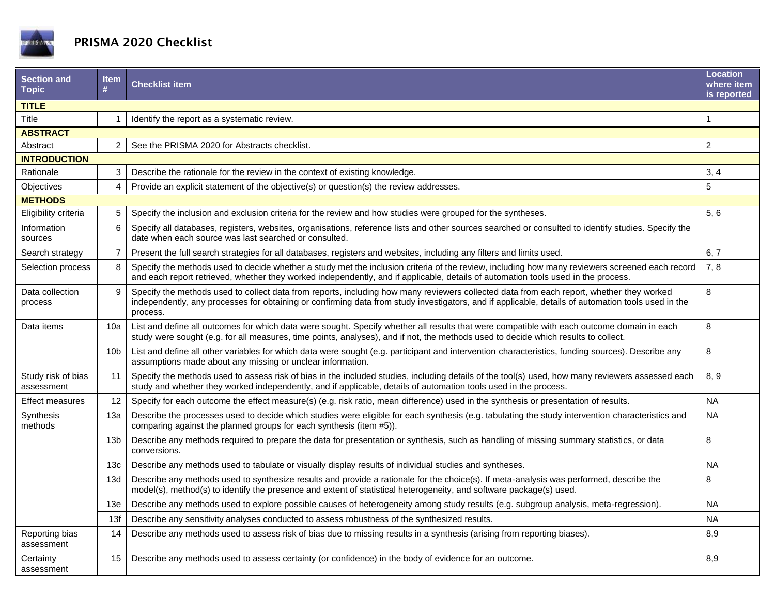

## PRISMA 2020 Checklist

| ltem<br>#         | <b>Checklist item</b>                                                                                                                                                                                                                                                                                      | <b>Location</b><br>where item<br>is reported |  |  |
|-------------------|------------------------------------------------------------------------------------------------------------------------------------------------------------------------------------------------------------------------------------------------------------------------------------------------------------|----------------------------------------------|--|--|
|                   |                                                                                                                                                                                                                                                                                                            |                                              |  |  |
|                   | Identify the report as a systematic review.                                                                                                                                                                                                                                                                | $\mathbf{1}$                                 |  |  |
| <b>ABSTRACT</b>   |                                                                                                                                                                                                                                                                                                            |                                              |  |  |
| $\overline{2}$    | See the PRISMA 2020 for Abstracts checklist.                                                                                                                                                                                                                                                               | $\overline{2}$                               |  |  |
|                   |                                                                                                                                                                                                                                                                                                            |                                              |  |  |
| 3                 | Describe the rationale for the review in the context of existing knowledge.                                                                                                                                                                                                                                | 3, 4                                         |  |  |
| $\overline{4}$    | Provide an explicit statement of the objective(s) or question(s) the review addresses.                                                                                                                                                                                                                     | 5                                            |  |  |
| <b>METHODS</b>    |                                                                                                                                                                                                                                                                                                            |                                              |  |  |
| 5                 | Specify the inclusion and exclusion criteria for the review and how studies were grouped for the syntheses.                                                                                                                                                                                                | 5, 6                                         |  |  |
| 6                 | Specify all databases, registers, websites, organisations, reference lists and other sources searched or consulted to identify studies. Specify the<br>date when each source was last searched or consulted.                                                                                               |                                              |  |  |
| $\overline{7}$    | Present the full search strategies for all databases, registers and websites, including any filters and limits used.                                                                                                                                                                                       | 6, 7                                         |  |  |
| 8                 | Specify the methods used to decide whether a study met the inclusion criteria of the review, including how many reviewers screened each record<br>and each report retrieved, whether they worked independently, and if applicable, details of automation tools used in the process.                        | 7, 8                                         |  |  |
| 9                 | Specify the methods used to collect data from reports, including how many reviewers collected data from each report, whether they worked<br>independently, any processes for obtaining or confirming data from study investigators, and if applicable, details of automation tools used in the<br>process. | 8                                            |  |  |
| 10a               | List and define all outcomes for which data were sought. Specify whether all results that were compatible with each outcome domain in each<br>study were sought (e.g. for all measures, time points, analyses), and if not, the methods used to decide which results to collect.                           | 8                                            |  |  |
| 10 <sub>b</sub>   | List and define all other variables for which data were sought (e.g. participant and intervention characteristics, funding sources). Describe any<br>assumptions made about any missing or unclear information.                                                                                            | 8                                            |  |  |
| 11                | Specify the methods used to assess risk of bias in the included studies, including details of the tool(s) used, how many reviewers assessed each<br>study and whether they worked independently, and if applicable, details of automation tools used in the process.                                       | 8, 9                                         |  |  |
| $12 \overline{ }$ | Specify for each outcome the effect measure(s) (e.g. risk ratio, mean difference) used in the synthesis or presentation of results.                                                                                                                                                                        | <b>NA</b>                                    |  |  |
| 13a               | Describe the processes used to decide which studies were eligible for each synthesis (e.g. tabulating the study intervention characteristics and<br>comparing against the planned groups for each synthesis (item #5)).                                                                                    | <b>NA</b>                                    |  |  |
| 13 <sub>b</sub>   | Describe any methods required to prepare the data for presentation or synthesis, such as handling of missing summary statistics, or data<br>conversions.                                                                                                                                                   | 8                                            |  |  |
| 13 <sub>c</sub>   | Describe any methods used to tabulate or visually display results of individual studies and syntheses.                                                                                                                                                                                                     | <b>NA</b>                                    |  |  |
| 13d               | Describe any methods used to synthesize results and provide a rationale for the choice(s). If meta-analysis was performed, describe the<br>model(s), method(s) to identify the presence and extent of statistical heterogeneity, and software package(s) used.                                             | 8                                            |  |  |
| 13e               | Describe any methods used to explore possible causes of heterogeneity among study results (e.g. subgroup analysis, meta-regression).                                                                                                                                                                       | <b>NA</b>                                    |  |  |
| 13f               | Describe any sensitivity analyses conducted to assess robustness of the synthesized results.                                                                                                                                                                                                               | <b>NA</b>                                    |  |  |
| 14                | Describe any methods used to assess risk of bias due to missing results in a synthesis (arising from reporting biases).                                                                                                                                                                                    | 8,9                                          |  |  |
| 15                | Describe any methods used to assess certainty (or confidence) in the body of evidence for an outcome.                                                                                                                                                                                                      | 8,9                                          |  |  |
|                   |                                                                                                                                                                                                                                                                                                            |                                              |  |  |